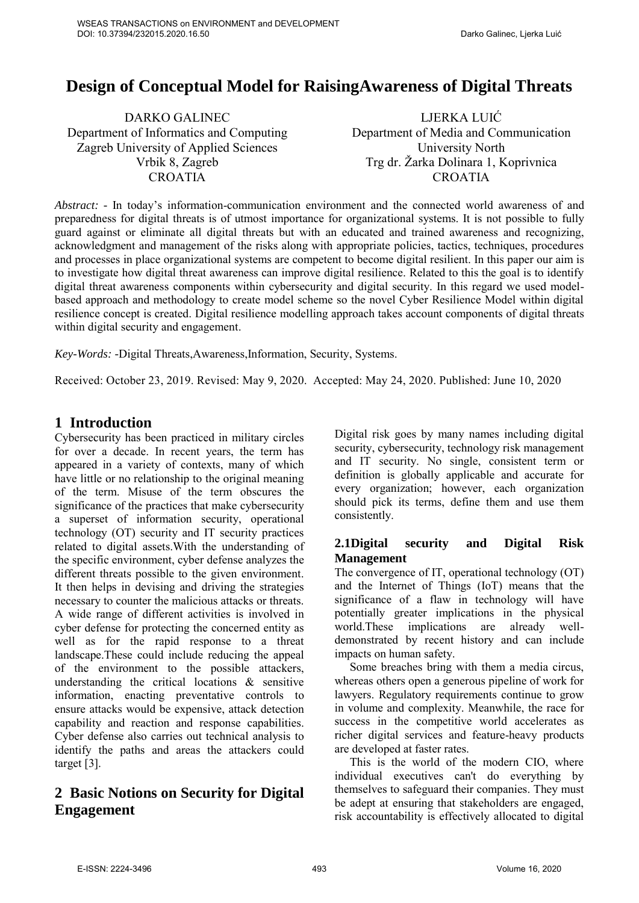# **Design of Conceptual Model for RaisingAwareness of Digital Threats**

DARKO GALINEC Department of Informatics and Computing Zagreb University of Applied Sciences Vrbik 8, Zagreb CROATIA

LJERKA LUIĆ Department of Media and Communication University North Trg dr. Žarka Dolinara 1, Koprivnica CROATIA

*Abstract: -* In today's information-communication environment and the connected world awareness of and preparedness for digital threats is of utmost importance for organizational systems. It is not possible to fully guard against or eliminate all digital threats but with an educated and trained awareness and recognizing, acknowledgment and management of the risks along with appropriate policies, tactics, techniques, procedures and processes in place organizational systems are competent to become digital resilient. In this paper our aim is to investigate how digital threat awareness can improve digital resilience. Related to this the goal is to identify digital threat awareness components within cybersecurity and digital security. In this regard we used modelbased approach and methodology to create model scheme so the novel Cyber Resilience Model within digital resilience concept is created. Digital resilience modelling approach takes account components of digital threats within digital security and engagement.

*Key-Words: -*Digital Threats,Awareness,Information, Security, Systems.

Received: October 23, 2019. Revised: May 9, 2020. Accepted: May 24, 2020. Published: June 10, 2020

## **1 Introduction**

Cybersecurity has been practiced in military circles for over a decade. In recent years, the term has appeared in a variety of contexts, many of which have little or no relationship to the original meaning of the term. Misuse of the term obscures the significance of the practices that make cybersecurity a superset of information security, operational technology (OT) security and IT security practices related to digital assets.With the understanding of the specific environment, cyber defense analyzes the different threats possible to the given environment. It then helps in devising and driving the strategies necessary to counter the malicious attacks or threats. A wide range of different activities is involved in cyber defense for protecting the concerned entity as well as for the rapid response to a threat landscape.These could include reducing the appeal of the environment to the possible attackers, understanding the critical locations & sensitive information, enacting preventative controls to ensure attacks would be expensive, attack detection capability and reaction and response capabilities. Cyber defense also carries out technical analysis to identify the paths and areas the attackers could target [3].

## **2 Basic Notions on Security for Digital Engagement**

Digital risk goes by many names including digital security, cybersecurity, technology risk management and IT security. No single, consistent term or definition is globally applicable and accurate for every organization; however, each organization should pick its terms, define them and use them consistently.

### **2.1Digital security and Digital Risk Management**

The convergence of IT, operational technology (OT) and the Internet of Things (IoT) means that the significance of a flaw in technology will have potentially greater implications in the physical world.These implications are already welldemonstrated by recent history and can include impacts on human safety.

Some breaches bring with them a media circus, whereas others open a generous pipeline of work for lawyers. Regulatory requirements continue to grow in volume and complexity. Meanwhile, the race for success in the competitive world accelerates as richer digital services and feature-heavy products are developed at faster rates.

This is the world of the modern CIO, where individual executives can't do everything by themselves to safeguard their companies. They must be adept at ensuring that stakeholders are engaged, risk accountability is effectively allocated to digital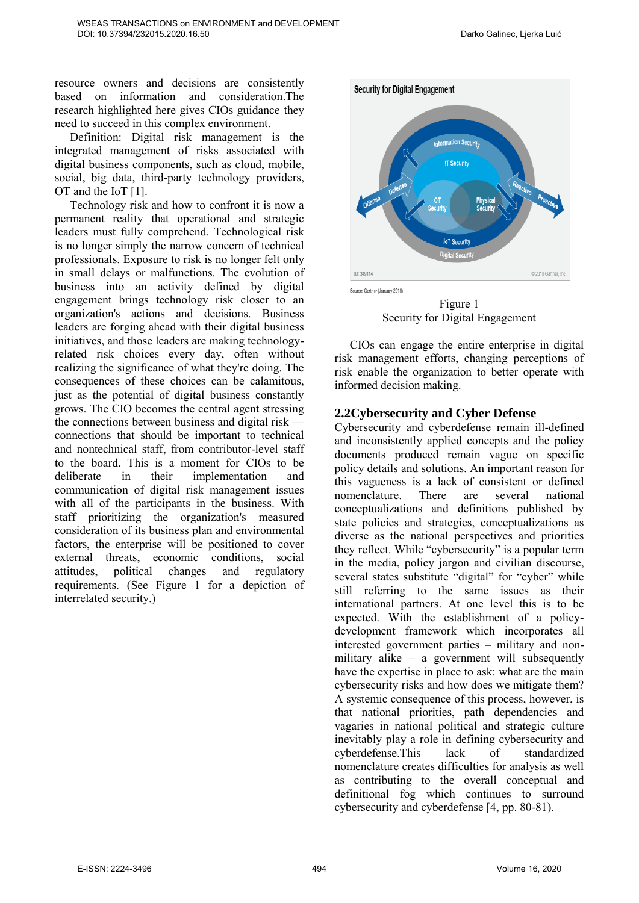resource owners and decisions are consistently based on information and consideration.The research highlighted here gives CIOs guidance they need to succeed in this complex environment.

 Definition: Digital risk management is the integrated management of risks associated with digital business components, such as cloud, mobile, social, big data, third-party technology providers, OT and the IoT [1].

Technology risk and how to confront it is now a permanent reality that operational and strategic leaders must fully comprehend. Technological risk is no longer simply the narrow concern of technical professionals. Exposure to risk is no longer felt only in small delays or malfunctions. The evolution of business into an activity defined by digital engagement brings technology risk closer to an organization's actions and decisions. Business leaders are forging ahead with their digital business initiatives, and those leaders are making technologyrelated risk choices every day, often without realizing the significance of what they're doing. The consequences of these choices can be calamitous, just as the potential of digital business constantly grows. The CIO becomes the central agent stressing the connections between business and digital risk connections that should be important to technical and nontechnical staff, from contributor-level staff to the board. This is a moment for CIOs to be deliberate in their implementation and communication of digital risk management issues with all of the participants in the business. With staff prioritizing the organization's measured consideration of its business plan and environmental factors, the enterprise will be positioned to cover<br>external threats, economic conditions, social economic conditions, social attitudes, political changes and regulatory requirements. (See Figure 1 for a depiction of interrelated security.)



Figure 1 Security for Digital Engagement

 CIOs can engage the entire enterprise in digital risk management efforts, changing perceptions of risk enable the organization to better operate with informed decision making.

### **2.2Cybersecurity and Cyber Defense**

Cybersecurity and cyberdefense remain ill-defined and inconsistently applied concepts and the policy documents produced remain vague on specific policy details and solutions. An important reason for this vagueness is a lack of consistent or defined nomenclature. There are several national conceptualizations and definitions published by state policies and strategies, conceptualizations as diverse as the national perspectives and priorities they reflect. While "cybersecurity" is a popular term in the media, policy jargon and civilian discourse, several states substitute "digital" for "cyber" while still referring to the same issues as their international partners. At one level this is to be expected. With the establishment of a policydevelopment framework which incorporates all interested government parties – military and nonmilitary alike – a government will subsequently have the expertise in place to ask: what are the main cybersecurity risks and how does we mitigate them? A systemic consequence of this process, however, is that national priorities, path dependencies and vagaries in national political and strategic culture inevitably play a role in defining cybersecurity and cyberdefense.This lack of standardized nomenclature creates difficulties for analysis as well as contributing to the overall conceptual and definitional fog which continues to surround cybersecurity and cyberdefense [4, pp. 80-81).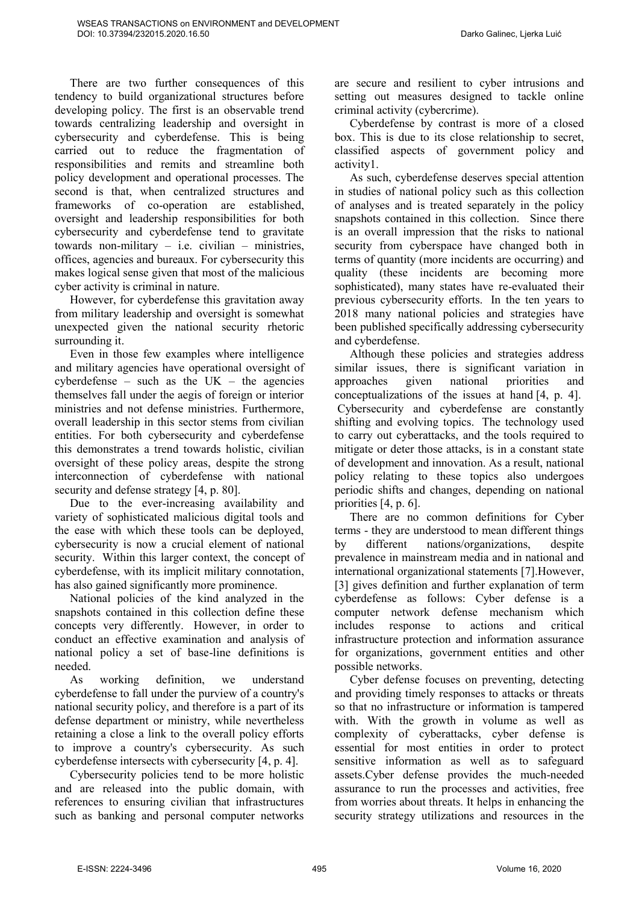There are two further consequences of this tendency to build organizational structures before developing policy. The first is an observable trend towards centralizing leadership and oversight in cybersecurity and cyberdefense. This is being carried out to reduce the fragmentation of responsibilities and remits and streamline both policy development and operational processes. The second is that, when centralized structures and frameworks of co-operation are established, oversight and leadership responsibilities for both cybersecurity and cyberdefense tend to gravitate towards non-military  $-$  i.e. civilian  $-$  ministries, offices, agencies and bureaux. For cybersecurity this makes logical sense given that most of the malicious cyber activity is criminal in nature.

However, for cyberdefense this gravitation away from military leadership and oversight is somewhat unexpected given the national security rhetoric surrounding it.

Even in those few examples where intelligence and military agencies have operational oversight of cyberdefense – such as the UK – the agencies themselves fall under the aegis of foreign or interior ministries and not defense ministries. Furthermore, overall leadership in this sector stems from civilian entities. For both cybersecurity and cyberdefense this demonstrates a trend towards holistic, civilian oversight of these policy areas, despite the strong interconnection of cyberdefense with national security and defense strategy [4, p. 80].

Due to the ever-increasing availability and variety of sophisticated malicious digital tools and the ease with which these tools can be deployed, cybersecurity is now a crucial element of national security. Within this larger context, the concept of cyberdefense, with its implicit military connotation, has also gained significantly more prominence.

National policies of the kind analyzed in the snapshots contained in this collection define these concepts very differently. However, in order to conduct an effective examination and analysis of national policy a set of base-line definitions is needed.

As working definition, we understand cyberdefense to fall under the purview of a country's national security policy, and therefore is a part of its defense department or ministry, while nevertheless retaining a close a link to the overall policy efforts to improve a country's cybersecurity. As such cyberdefense intersects with cybersecurity [4, p. 4].

Cybersecurity policies tend to be more holistic and are released into the public domain, with references to ensuring civilian that infrastructures such as banking and personal computer networks

are secure and resilient to cyber intrusions and setting out measures designed to tackle online criminal activity (cybercrime).

Cyberdefense by contrast is more of a closed box. This is due to its close relationship to secret, classified aspects of government policy and activity1.

As such, cyberdefense deserves special attention in studies of national policy such as this collection of analyses and is treated separately in the policy snapshots contained in this collection. Since there is an overall impression that the risks to national security from cyberspace have changed both in terms of quantity (more incidents are occurring) and quality (these incidents are becoming more sophisticated), many states have re-evaluated their previous cybersecurity efforts. In the ten years to 2018 many national policies and strategies have been published specifically addressing cybersecurity and cyberdefense.

Although these policies and strategies address similar issues, there is significant variation in approaches given national priorities and conceptualizations of the issues at hand [4, p. 4]. Cybersecurity and cyberdefense are constantly shifting and evolving topics. The technology used to carry out cyberattacks, and the tools required to mitigate or deter those attacks, is in a constant state of development and innovation. As a result, national policy relating to these topics also undergoes periodic shifts and changes, depending on national priorities [4, p. 6].

There are no common definitions for Cyber terms - they are understood to mean different things by different nations/organizations, despite prevalence in mainstream media and in national and international organizational statements [7].However, [3] gives definition and further explanation of term cyberdefense as follows: Cyber defense is a computer network defense mechanism which includes response to actions and critical infrastructure protection and information assurance for organizations, government entities and other possible networks.

Cyber defense focuses on preventing, detecting and providing timely responses to attacks or threats so that no infrastructure or information is tampered with. With the growth in volume as well as complexity of cyberattacks, cyber defense is essential for most entities in order to protect sensitive information as well as to safeguard assets.Cyber defense provides the much-needed assurance to run the processes and activities, free from worries about threats. It helps in enhancing the security strategy utilizations and resources in the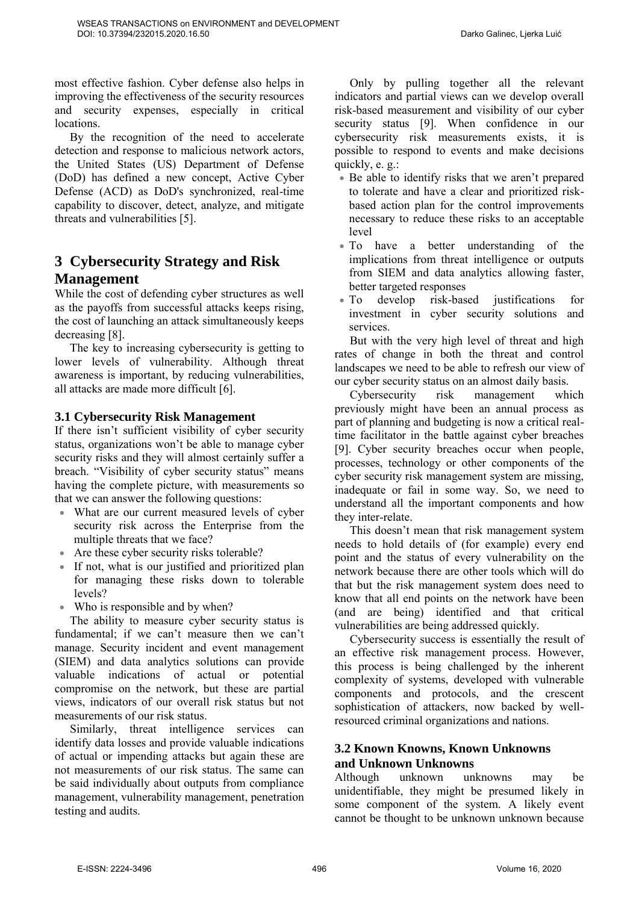most effective fashion. Cyber defense also helps in improving the effectiveness of the security resources and security expenses, especially in critical locations.

By the recognition of the need to accelerate detection and response to malicious network actors, the United States (US) Department of Defense (DoD) has defined a new concept, Active Cyber Defense (ACD) as DoD's synchronized, real-time capability to discover, detect, analyze, and mitigate threats and vulnerabilities [5].

## **3 Cybersecurity Strategy and Risk Management**

While the cost of defending cyber structures as well as the payoffs from successful attacks keeps rising, the cost of launching an attack simultaneously keeps decreasing [8].

The key to increasing cybersecurity is getting to lower levels of vulnerability. Although threat awareness is important, by reducing vulnerabilities, all attacks are made more difficult [6].

### **3.1 Cybersecurity Risk Management**

If there isn't sufficient visibility of cyber security status, organizations won't be able to manage cyber security risks and they will almost certainly suffer a breach. "Visibility of cyber security status" means having the complete picture, with measurements so that we can answer the following questions:

- What are our current measured levels of cyber security risk across the Enterprise from the multiple threats that we face?
- Are these cyber security risks tolerable?
- If not, what is our justified and prioritized plan for managing these risks down to tolerable levels?
- Who is responsible and by when?

 The ability to measure cyber security status is fundamental; if we can't measure then we can't manage. Security incident and event management (SIEM) and data analytics solutions can provide valuable indications of actual or potential compromise on the network, but these are partial views, indicators of our overall risk status but not measurements of our risk status.

Similarly, threat intelligence services can identify data losses and provide valuable indications of actual or impending attacks but again these are not measurements of our risk status. The same can be said individually about outputs from compliance management, vulnerability management, penetration testing and audits.

Only by pulling together all the relevant indicators and partial views can we develop overall risk-based measurement and visibility of our cyber security status [9]. When confidence in our cybersecurity risk measurements exists, it is possible to respond to events and make decisions quickly, e. g.:

- Be able to identify risks that we aren't prepared to tolerate and have a clear and prioritized riskbased action plan for the control improvements necessary to reduce these risks to an acceptable level
- To have a better understanding of the implications from threat intelligence or outputs from SIEM and data analytics allowing faster, better targeted responses
- To develop risk-based justifications for investment in cyber security solutions and services.

But with the very high level of threat and high rates of change in both the threat and control landscapes we need to be able to refresh our view of our cyber security status on an almost daily basis.

Cybersecurity risk management which previously might have been an annual process as part of planning and budgeting is now a critical realtime facilitator in the battle against cyber breaches [9]. Cyber security breaches occur when people, processes, technology or other components of the cyber security risk management system are missing, inadequate or fail in some way. So, we need to understand all the important components and how they inter-relate.

This doesn't mean that risk management system needs to hold details of (for example) every end point and the status of every vulnerability on the network because there are other tools which will do that but the risk management system does need to know that all end points on the network have been (and are being) identified and that critical vulnerabilities are being addressed quickly.

Cybersecurity success is essentially the result of an effective risk management process. However, this process is being challenged by the inherent complexity of systems, developed with vulnerable components and protocols, and the crescent sophistication of attackers, now backed by wellresourced criminal organizations and nations.

### **3.2 Known Knowns, Known Unknowns and Unknown Unknowns**

Although unknown unknowns may be unidentifiable, they might be presumed likely in some component of the system. A likely event cannot be thought to be unknown unknown because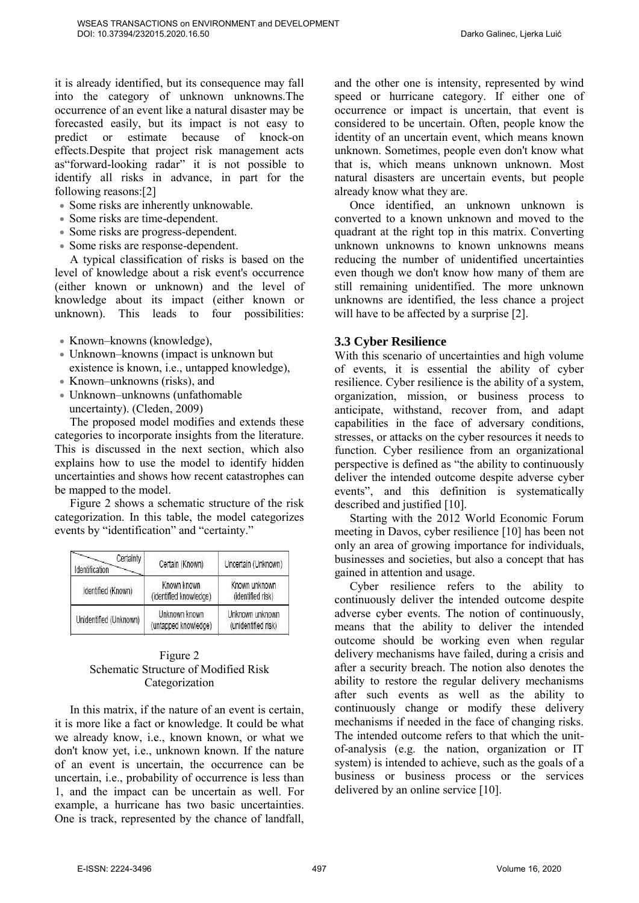it is already identified, but its consequence may fall into the category of unknown unknowns.The occurrence of an event like a natural disaster may be forecasted easily, but its impact is not easy to predict or estimate because of knock-on effects.Despite that project risk management acts as"forward-looking radar" it is not possible to identify all risks in advance, in part for the following reasons:[2]

- Some risks are inherently unknowable.
- Some risks are time-dependent.
- Some risks are progress-dependent.
- Some risks are response-dependent.

A typical classification of risks is based on the level of knowledge about a risk event's occurrence (either known or unknown) and the level of knowledge about its impact (either known or unknown). This leads to four possibilities:

- Known–knowns (knowledge),
- Unknown–knowns (impact is unknown but existence is known, i.e., untapped knowledge),
- Known–unknowns (risks), and
- Unknown–unknowns (unfathomable uncertainty). (Cleden, 2009)

The proposed model modifies and extends these categories to incorporate insights from the literature. This is discussed in the next section, which also explains how to use the model to identify hidden uncertainties and shows how recent catastrophes can be mapped to the model.

Figure 2 shows a schematic structure of the risk categorization. In this table, the model categorizes events by "identification" and "certainty."

| Certainty<br>Identification | Certain (Known)                       | Uncertain (Unknown)                    |
|-----------------------------|---------------------------------------|----------------------------------------|
| Identified (Known)          | Known known<br>(identified knowledge) | Known unknown.<br>(identified risk)    |
| Unidentified (Unknown)      | Unknown known<br>(untapped knowledge) | Unknown unknown<br>(unidentified risk) |

#### Figure 2 Schematic Structure of Modified Risk Categorization

In this matrix, if the nature of an event is certain, it is more like a fact or knowledge. It could be what we already know, i.e., known known, or what we don't know yet, i.e., unknown known. If the nature of an event is uncertain, the occurrence can be uncertain, i.e., probability of occurrence is less than 1, and the impact can be uncertain as well. For example, a hurricane has two basic uncertainties. One is track, represented by the chance of landfall, and the other one is intensity, represented by wind speed or hurricane category. If either one of occurrence or impact is uncertain, that event is considered to be uncertain. Often, people know the identity of an uncertain event, which means known unknown. Sometimes, people even don't know what that is, which means unknown unknown. Most natural disasters are uncertain events, but people already know what they are.

Once identified, an unknown unknown is converted to a known unknown and moved to the quadrant at the right top in this matrix. Converting unknown unknowns to known unknowns means reducing the number of unidentified uncertainties even though we don't know how many of them are still remaining unidentified. The more unknown unknowns are identified, the less chance a project will have to be affected by a surprise [2].

#### **3.3 Cyber Resilience**

With this scenario of uncertainties and high volume of events, it is essential the ability of cyber resilience. Cyber resilience is the ability of a system, organization, mission, or business process to anticipate, withstand, recover from, and adapt capabilities in the face of adversary conditions, stresses, or attacks on the cyber resources it needs to function. Cyber resilience from an organizational perspective is defined as "the ability to continuously deliver the intended outcome despite adverse cyber events", and this definition is systematically described and justified [10].

Starting with the 2012 World Economic Forum meeting in Davos, cyber resilience [10] has been not only an area of growing importance for individuals, businesses and societies, but also a concept that has gained in attention and usage.

Cyber resilience refers to the ability to continuously deliver the intended outcome despite adverse cyber events. The notion of continuously, means that the ability to deliver the intended outcome should be working even when regular delivery mechanisms have failed, during a crisis and after a security breach. The notion also denotes the ability to restore the regular delivery mechanisms after such events as well as the ability to continuously change or modify these delivery mechanisms if needed in the face of changing risks. The intended outcome refers to that which the unitof-analysis (e.g. the nation, organization or IT system) is intended to achieve, such as the goals of a business or business process or the services delivered by an online service [10].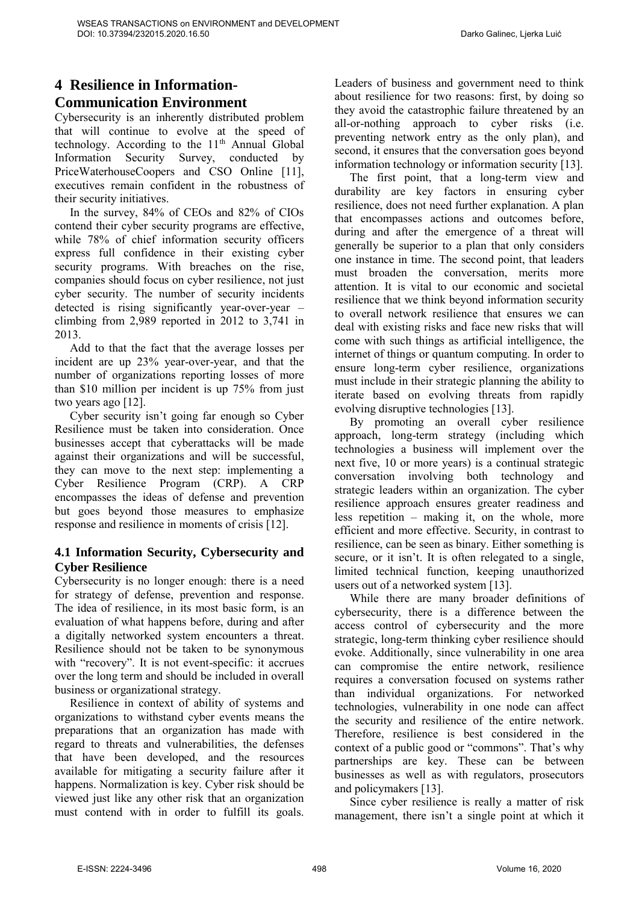## **4 Resilience in Information-Communication Environment**

Cybersecurity is an inherently distributed problem that will continue to evolve at the speed of technology. According to the 11<sup>th</sup> Annual Global Information Security Survey, conducted by PriceWaterhouseCoopers and CSO Online [11], executives remain confident in the robustness of their security initiatives.

 In the survey, 84% of CEOs and 82% of CIOs contend their cyber security programs are effective, while 78% of chief information security officers express full confidence in their existing cyber security programs. With breaches on the rise, companies should focus on cyber resilience, not just cyber security. The number of security incidents detected is rising significantly year-over-year – climbing from 2,989 reported in 2012 to 3,741 in 2013.

 Add to that the fact that the average losses per incident are up 23% year-over-year, and that the number of organizations reporting losses of more than \$10 million per incident is up 75% from just two years ago [12].

Cyber security isn't going far enough so Cyber Resilience must be taken into consideration. Once businesses accept that cyberattacks will be made against their organizations and will be successful, they can move to the next step: implementing a Cyber Resilience Program (CRP). A CRP encompasses the ideas of defense and prevention but goes beyond those measures to emphasize response and resilience in moments of crisis [12].

### **4.1 Information Security, Cybersecurity and Cyber Resilience**

Cybersecurity is no longer enough: there is a need for strategy of defense, prevention and response. The idea of resilience, in its most basic form, is an evaluation of what happens before, during and after a digitally networked system encounters a threat. Resilience should not be taken to be synonymous with "recovery". It is not event-specific: it accrues over the long term and should be included in overall business or organizational strategy.

Resilience in context of ability of systems and organizations to withstand cyber events means the preparations that an organization has made with regard to threats and vulnerabilities, the defenses that have been developed, and the resources available for mitigating a security failure after it happens. Normalization is key. Cyber risk should be viewed just like any other risk that an organization must contend with in order to fulfill its goals. Leaders of business and government need to think about resilience for two reasons: first, by doing so they avoid the catastrophic failure threatened by an all-or-nothing approach to cyber risks (i.e. preventing network entry as the only plan), and second, it ensures that the conversation goes beyond information technology or information security [13].

The first point, that a long-term view and durability are key factors in ensuring cyber resilience, does not need further explanation. A plan that encompasses actions and outcomes before, during and after the emergence of a threat will generally be superior to a plan that only considers one instance in time. The second point, that leaders must broaden the conversation, merits more attention. It is vital to our economic and societal resilience that we think beyond information security to overall network resilience that ensures we can deal with existing risks and face new risks that will come with such things as artificial intelligence, the internet of things or quantum computing. In order to ensure long-term cyber resilience, organizations must include in their strategic planning the ability to iterate based on evolving threats from rapidly evolving disruptive technologies [13].

By promoting an overall cyber resilience approach, long-term strategy (including which technologies a business will implement over the next five, 10 or more years) is a continual strategic conversation involving both technology and strategic leaders within an organization. The cyber resilience approach ensures greater readiness and less repetition – making it, on the whole, more efficient and more effective. Security, in contrast to resilience, can be seen as binary. Either something is secure, or it isn't. It is often relegated to a single, limited technical function, keeping unauthorized users out of a networked system [13].

While there are many [broader definitions of](http://cyber.law.harvard.edu/cybersecurity/Main_Page)  [cybersecurity,](http://cyber.law.harvard.edu/cybersecurity/Main_Page) there is a difference between the access control of cybersecurity and the more strategic, long-term thinking cyber resilience should evoke. Additionally, since vulnerability in one area can compromise the entire network, resilience requires a conversation focused on systems rather than individual organizations. For networked technologies, vulnerability in one node can affect the security and resilience of the entire network. Therefore, resilience is best considered in the context of a public good or "commons". That's why partnerships are key. These can be between businesses as well as with regulators, prosecutors and policymakers [13].

Since cyber resilience is really a matter of risk management, there isn't a single point at which it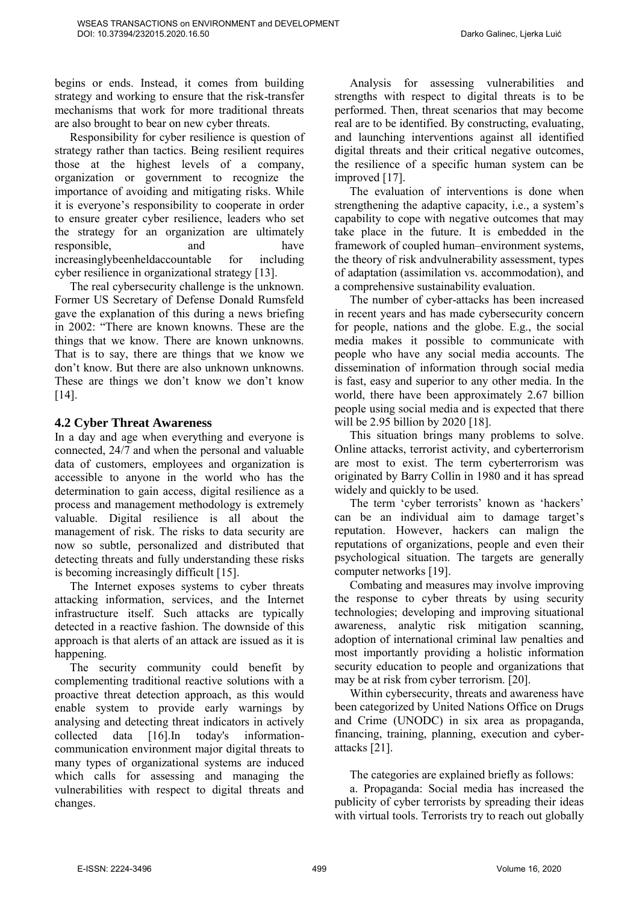begins or ends. Instead, it comes from building strategy and working to ensure that the risk-transfer mechanisms that work for more traditional threats are also brought to bear on new cyber threats.

Responsibility for cyber resilience is question of strategy rather than tactics. Being resilient requires those at the highest levels of a company, organization or government to recognize the importance of avoiding and mitigating risks. While it is everyone's responsibility to cooperate in order to ensure greater cyber resilience, leaders who set the strategy for an organization are ultimately responsible, and have [increasinglybeen](https://iapp.org/news/a/cybersecurity-in-the-boardroom-the-new-reality-for-directors/)[heldaccountable](http://ec.europa.eu/justice/data-protection/reform/index_en.htm) for including cyber resilience in organizational strategy [13].

The real cybersecurity challenge is the unknown. Former US Secretary of Defense Donald Rumsfeld gave the explanation of this during a news briefing in 2002: "There are known knowns. These are the things that we know. There are known unknowns. That is to say, there are things that we know we don't know. But there are also unknown unknowns. These are things we don't know we don't know [14].

#### **4.2 Cyber Threat Awareness**

In a day and age when everything and everyone is connected, 24/7 and when the personal and valuable data of customers, employees and organization is accessible to anyone in the world who has the determination to gain access, digital resilience as a process and management methodology is extremely valuable. Digital resilience is all about the management of risk. The risks to data security are now so subtle, personalized and distributed that detecting threats and fully understanding these risks is becoming increasingly difficult [\[15\]](https://purplegriffon.com/blog/cyber-resilience-managing-risk).

The Internet exposes systems to cyber threats attacking information, services, and the Internet infrastructure itself. Such attacks are typically detected in a reactive fashion. The downside of this approach is that alerts of an attack are issued as it is happening.

The security community could benefit by complementing traditional reactive solutions with a proactive threat detection approach, as this would enable system to provide early warnings by analysing and detecting threat indicators in actively collected data [16].In today's informationcommunication environment major digital threats to many types of organizational systems are induced which calls for assessing and managing the vulnerabilities with respect to digital threats and changes.

Analysis for assessing vulnerabilities and strengths with respect to digital threats is to be performed. Then, threat scenarios that may become real are to be identified. By constructing, evaluating, and launching interventions against all identified digital threats and their critical negative outcomes, the resilience of a specific human system can be improved [17].

The evaluation of interventions is done when strengthening the adaptive capacity, i.e., a system's capability to cope with negative outcomes that may take place in the future. It is embedded in the framework of coupled human–environment systems, the theory of risk andvulnerability assessment, types of adaptation (assimilation vs. accommodation), and a comprehensive sustainability evaluation.

The number of cyber-attacks has been increased in recent years and has made cybersecurity concern for people, nations and the globe. E.g., the social media makes it possible to communicate with people who have any social media accounts. The dissemination of information through social media is fast, easy and superior to any other media. In the world, there have been approximately 2.67 billion people using social media and is expected that there will be 2.95 billion by 2020 [18].

This situation brings many problems to solve. Online attacks, terrorist activity, and cyberterrorism are most to exist. The term cyberterrorism was originated by Barry Collin in 1980 and it has spread widely and quickly to be used.

The term 'cyber terrorists' known as 'hackers' can be an individual aim to damage target's reputation. However, hackers can malign the reputations of organizations, people and even their psychological situation. The targets are generally computer networks [19].

Combating and measures may involve improving the response to cyber threats by using security technologies; developing and improving situational awareness, analytic risk mitigation scanning, adoption of international criminal law penalties and most importantly providing a holistic information security education to people and organizations that may be at risk from cyber terrorism. [20].

Within cybersecurity, threats and awareness have been categorized by United Nations Office on Drugs and Crime (UNODC) in six area as propaganda, financing, training, planning, execution and cyberattacks [21].

The categories are explained briefly as follows:

a. Propaganda: Social media has increased the publicity of cyber terrorists by spreading their ideas with virtual tools. Terrorists try to reach out globally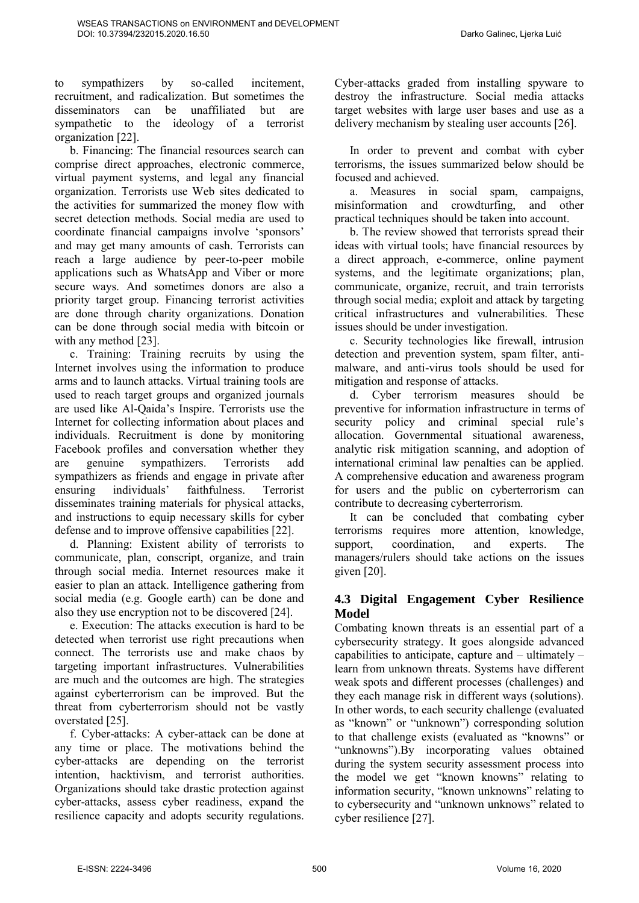to sympathizers by so-called incitement, recruitment, and radicalization. But sometimes the disseminators can be unaffiliated but are sympathetic to the ideology of a terrorist organization [22].

b. Financing: The financial resources search can comprise direct approaches, electronic commerce, virtual payment systems, and legal any financial organization. Terrorists use Web sites dedicated to the activities for summarized the money flow with secret detection methods. Social media are used to coordinate financial campaigns involve 'sponsors' and may get many amounts of cash. Terrorists can reach a large audience by peer-to-peer mobile applications such as WhatsApp and Viber or more secure ways. And sometimes donors are also a priority target group. Financing terrorist activities are done through charity organizations. Donation can be done through social media with bitcoin or with any method [23].

c. Training: Training recruits by using the Internet involves using the information to produce arms and to launch attacks. Virtual training tools are used to reach target groups and organized journals are used like Al-Qaida's Inspire. Terrorists use the Internet for collecting information about places and individuals. Recruitment is done by monitoring Facebook profiles and conversation whether they are genuine sympathizers. Terrorists add sympathizers as friends and engage in private after ensuring individuals' faithfulness. Terrorist disseminates training materials for physical attacks, and instructions to equip necessary skills for cyber defense and to improve offensive capabilities [22].

d. Planning: Existent ability of terrorists to communicate, plan, conscript, organize, and train through social media. Internet resources make it easier to plan an attack. Intelligence gathering from social media (e.g. Google earth) can be done and also they use encryption not to be discovered [24].

e. Execution: The attacks execution is hard to be detected when terrorist use right precautions when connect. The terrorists use and make chaos by targeting important infrastructures. Vulnerabilities are much and the outcomes are high. The strategies against cyberterrorism can be improved. But the threat from cyberterrorism should not be vastly overstated [25].

f. Cyber-attacks: A cyber-attack can be done at any time or place. The motivations behind the cyber-attacks are depending on the terrorist intention, hacktivism, and terrorist authorities. Organizations should take drastic protection against cyber-attacks, assess cyber readiness, expand the resilience capacity and adopts security regulations. Cyber-attacks graded from installing spyware to destroy the infrastructure. Social media attacks target websites with large user bases and use as a delivery mechanism by stealing user accounts [26].

In order to prevent and combat with cyber terrorisms, the issues summarized below should be focused and achieved.

a. Measures in social spam, campaigns, misinformation and crowdturfing, and other practical techniques should be taken into account.

b. The review showed that terrorists spread their ideas with virtual tools; have financial resources by a direct approach, e-commerce, online payment systems, and the legitimate organizations; plan, communicate, organize, recruit, and train terrorists through social media; exploit and attack by targeting critical infrastructures and vulnerabilities. These issues should be under investigation.

c. Security technologies like firewall, intrusion detection and prevention system, spam filter, antimalware, and anti-virus tools should be used for mitigation and response of attacks.

d. Cyber terrorism measures should be preventive for information infrastructure in terms of security policy and criminal special rule's allocation. Governmental situational awareness, analytic risk mitigation scanning, and adoption of international criminal law penalties can be applied. A comprehensive education and awareness program for users and the public on cyberterrorism can contribute to decreasing cyberterrorism.

It can be concluded that combating cyber terrorisms requires more attention, knowledge, support, coordination, and experts. The managers/rulers should take actions on the issues given [20].

### **4.3 Digital Engagement Cyber Resilience Model**

Combating known threats is an essential part of a cybersecurity strategy. It goes alongside advanced capabilities to anticipate, capture and – ultimately – learn from unknown threats. Systems have different weak spots and different processes (challenges) and they each manage risk in different ways (solutions). In other words, to each security challenge (evaluated as "known" or "unknown") corresponding solution to that challenge exists (evaluated as "knowns" or "unknowns").By incorporating values obtained during the system security assessment process into the model we get "known knowns" relating to information security, "known unknowns" relating to to cybersecurity and "unknown unknows" related to cyber resilience [27].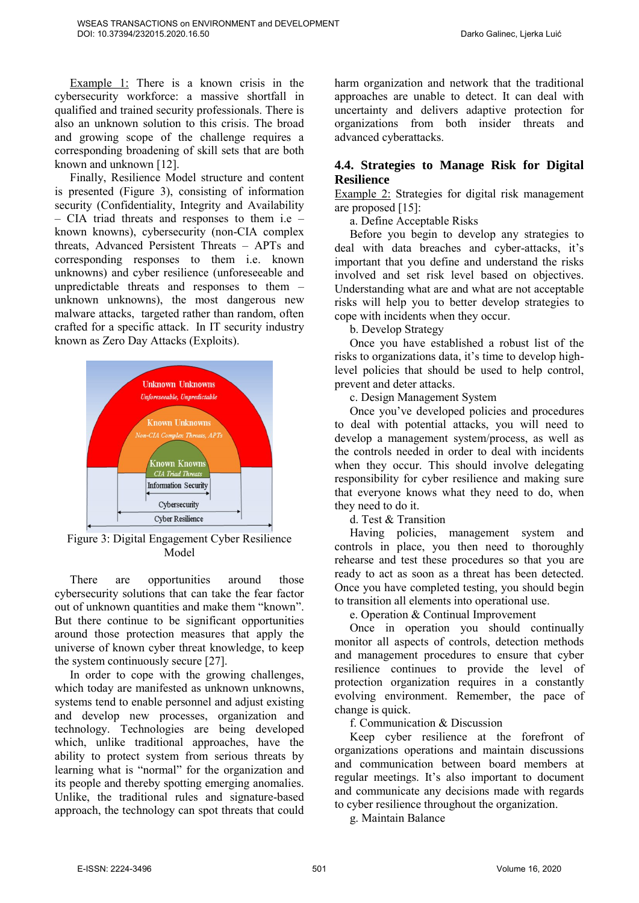Example 1: There is a known crisis in the cybersecurity workforce: a massive shortfall in qualified and trained security professionals. There is also an unknown solution to this crisis. The broad and growing scope of the challenge requires a corresponding broadening of skill sets that are both known and unknown [12].

Finally, Resilience Model structure and content is presented (Figure 3), consisting of information security (Confidentiality, Integrity and Availability – CIA triad threats and responses to them i.e – known knowns), cybersecurity (non-CIA complex threats, Advanced Persistent Threats – APTs and corresponding responses to them i.e. known unknowns) and cyber resilience (unforeseeable and unpredictable threats and responses to them – unknown unknowns), the most dangerous new malware attacks, targeted rather than random, often crafted for a specific attack. In IT security industry known as Zero Day Attacks (Exploits).



Figure 3: Digital Engagement Cyber Resilience Model

There are opportunities around those cybersecurity solutions that can take the fear factor out of unknown quantities and make them "known". But there continue to be significant opportunities around those protection measures that apply the universe of known cyber threat knowledge, to keep the system continuously secure [27].

In order to cope with the growing challenges, which today are manifested as unknown unknowns, systems tend to enable personnel and adjust existing and develop new processes, organization and technology. Technologies are being developed which, unlike traditional approaches, have the ability to protect system from serious threats by learning what is "normal" for the organization and its people and thereby spotting emerging anomalies. Unlike, the traditional rules and signature-based approach, the technology can spot threats that could harm organization and network that the traditional approaches are unable to detect. It can deal with uncertainty and delivers adaptive protection for organizations from both insider threats and advanced cyberattacks.

### **4.4. Strategies to Manage Risk for Digital Resilience**

Example 2: Strategies for digital risk management are proposed [15]:

a. Define Acceptable Risks

Before you begin to develop any strategies to deal with data breaches and cyber-attacks, it's important that you define and understand the risks involved and set risk level based on objectives. Understanding what are and what are not acceptable risks will help you to better develop strategies to cope with incidents when they occur.

b. Develop Strategy

Once you have established a robust list of the risks to organizations data, it's time to develop highlevel policies that should be used to help control, prevent and deter attacks.

c. Design Management System

Once you've developed policies and procedures to deal with potential attacks, you will need to develop a management system/process, as well as the controls needed in order to deal with incidents when they occur. This should involve delegating responsibility for cyber resilience and making sure that everyone knows what they need to do, when they need to do it.

d. Test & Transition

Having policies, management system and controls in place, you then need to thoroughly rehearse and test these procedures so that you are ready to act as soon as a threat has been detected. Once you have completed testing, you should begin to transition all elements into operational use.

e. Operation & Continual Improvement

Once in operation you should [continually](https://purplegriffon.com/courses/itil-it-service-management-itsm/itil-continual-service-improvement)  [monitor all aspects of controls,](https://purplegriffon.com/courses/itil-it-service-management-itsm/itil-continual-service-improvement) detection methods and management procedures to ensure that cyber resilience continues to provide the level of protection organization requires in a constantly evolving environment. Remember, the pace of change is quick.

f. Communication & Discussion

Keep cyber resilience at the forefront of organizations operations and maintain discussions and communication between board members at regular meetings. It's also important to document and communicate any decisions made with regards to cyber resilience throughout the organization.

g. Maintain Balance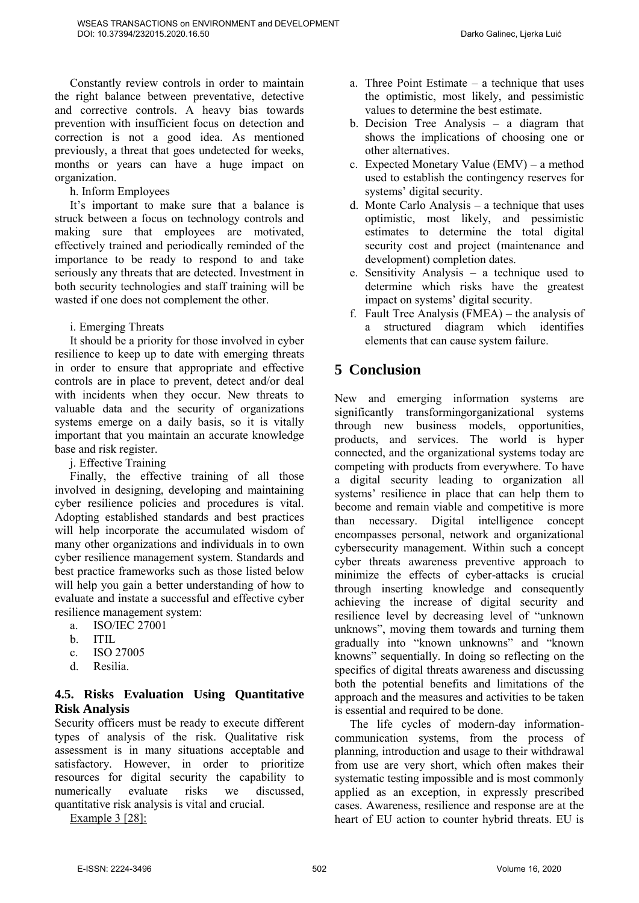Constantly review controls in order to maintain the right balance between preventative, detective and corrective controls. A heavy bias towards prevention with insufficient focus on detection and correction is not a good idea. As mentioned previously, a threat that goes undetected for weeks, months or years can have a huge impact on organization.

h. Inform Employees

It's important to make sure that a balance is struck between a focus on technology controls and making sure that employees are motivated, effectively trained and periodically reminded of the importance to be ready to respond to and take seriously any threats that are detected. Investment in both security technologies and staff training will be wasted if one does not complement the other.

i. Emerging Threats

It should be a priority for those involved in cyber resilience to keep up to date with emerging threats in order to ensure that appropriate and effective controls are in place to prevent, detect and/or deal with incidents when they occur. New threats to valuable data and the security of organizations systems emerge on a daily basis, so it is vitally important that you maintain an accurate knowledge base and risk register.

j. Effective Training

Finally, the effective training of all those involved in designing, developing and maintaining cyber resilience policies and procedures is vital. Adopting established standards and best practices will help incorporate the accumulated wisdom of many other organizations and individuals in to own cyber resilience management system. Standards and best practice frameworks such as those listed below will help you gain a better understanding of how to evaluate and instate a successful and effective cyber resilience management system:

- a. ISO/IEC 27001
- b. ITIL
- c. ISO 27005
- d. Resilia.

### **4.5. Risks Evaluation Using Quantitative Risk Analysis**

Security officers must be ready to execute different types of analysis of the risk. Qualitative risk assessment is in many situations acceptable and satisfactory. However, in order to prioritize resources for digital security the capability to numerically evaluate risks we discussed, quantitative risk analysis is vital and crucial.

Example 3 [28]:

- a. Three Point Estimate a technique that uses the optimistic, most likely, and pessimistic values to determine the best estimate.
- b. Decision Tree Analysis a diagram that shows the implications of choosing one or other alternatives.
- c. Expected Monetary Value (EMV) a method used to establish the contingency reserves for systems' digital security.
- d. Monte Carlo Analysis a technique that uses optimistic, most likely, and pessimistic estimates to determine the total digital security cost and project (maintenance and development) completion dates.
- e. Sensitivity Analysis a technique used to determine which risks have the greatest impact on systems' digital security.
- f. Fault Tree Analysis (FMEA) the analysis of a structured diagram which identifies elements that can cause system failure.

## **5 Conclusion**

New and emerging information systems are significantly transformingorganizational systems through new business models, opportunities, products, and services. The world is hyper connected, and the organizational systems today are competing with products from everywhere. To have a digital security leading to organization all systems' resilience in place that can help them to become and remain viable and competitive is more than necessary. Digital intelligence concept encompasses personal, network and organizational cybersecurity management. Within such a concept cyber threats awareness preventive approach to minimize the effects of cyber-attacks is crucial through inserting knowledge and consequently achieving the increase of digital security and resilience level by decreasing level of "unknown unknows", moving them towards and turning them gradually into "known unknowns" and "known knowns" sequentially. In doing so reflecting on the specifics of digital threats awareness and discussing both the potential benefits and limitations of the approach and the measures and activities to be taken is essential and required to be done.

The life cycles of modern-day informationcommunication systems, from the process of planning, introduction and usage to their withdrawal from use are very short, which often makes their systematic testing impossible and is most commonly applied as an exception, in expressly prescribed cases. Awareness, resilience and response are at the heart of EU action to counter hybrid threats. EU is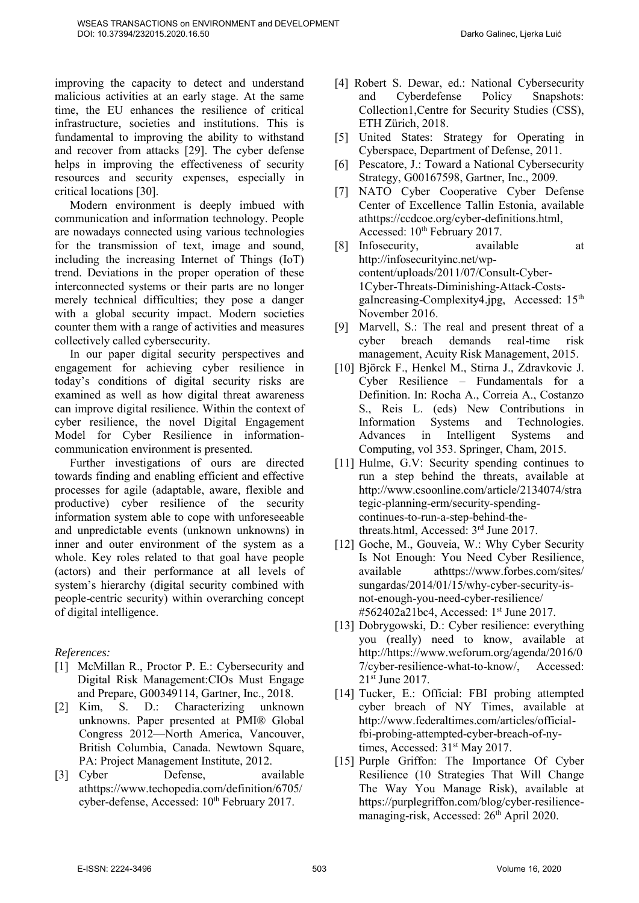improving the capacity to detect and understand malicious activities at an early stage. At the same time, the EU enhances the resilience of critical infrastructure, societies and institutions. This is fundamental to improving the ability to withstand and recover from attacks [29]. The cyber defense helps in improving the effectiveness of security resources and security expenses, especially in critical locations [30].

Modern environment is deeply imbued with communication and information technology. People are nowadays connected using various technologies for the transmission of text, image and sound, including the increasing Internet of Things (IoT) trend. Deviations in the proper operation of these interconnected systems or their parts are no longer merely technical difficulties; they pose a danger with a global security impact. Modern societies counter them with a range of activities and measures collectively called cybersecurity.

In our paper digital security perspectives and engagement for achieving cyber resilience in today's conditions of digital security risks are examined as well as how digital threat awareness can improve digital resilience. Within the context of cyber resilience, the novel Digital Engagement Model for Cyber Resilience in informationcommunication environment is presented.

Further investigations of ours are directed towards finding and enabling efficient and effective processes for agile (adaptable, aware, flexible and productive) cyber resilience of the security information system able to cope with unforeseeable and unpredictable events (unknown unknowns) in inner and outer environment of the system as a whole. Key roles related to that goal have people (actors) and their performance at all levels of system's hierarchy (digital security combined with people-centric security) within overarching concept of digital intelligence.

### *References:*

- [1] McMillan R., Proctor P. E.: Cybersecurity and Digital Risk Management:CIOs Must Engage and Prepare, G00349114, Gartner, Inc., 2018.
- [2] Kim, S. D.: Characterizing unknown unknowns. Paper presented at PMI® Global Congress 2012—North America, Vancouver, British Columbia, Canada. Newtown Square, PA: Project Management Institute, 2012.
- [3] Cyber Defense, available athttps://www.techopedia.com/definition/6705/ cyber-defense, Accessed: 10<sup>th</sup> February 2017.
- [4] Robert S. Dewar, ed.: National Cybersecurity and Cyberdefense Policy Snapshots: Collection1,Centre for Security Studies (CSS), ETH Zürich, 2018.
- [5] United States: Strategy for Operating in Cyberspace, Department of Defense, 2011.
- [6] Pescatore, J.: Toward a National Cybersecurity Strategy, G00167598, Gartner, Inc., 2009.
- [7] NATO Cyber Cooperative Cyber Defense Center of Excellence Tallin Estonia, available athttps://ccdcoe.org/cyber-definitions.html, Accessed: 10<sup>th</sup> February 2017.
- [8] Infosecurity, available at [http://infosecurityinc.net/wp](http://infosecurityinc.net/wp-content/uploads/2011/07/Consult-Cyber-)[content/uploads/2011/07/Consult-Cyber-](http://infosecurityinc.net/wp-content/uploads/2011/07/Consult-Cyber-)1Cyber-Threats-Diminishing-Attack-CostsgaIncreasing-Complexity4.jpg, Accessed: 15th November 2016.
- [9] Marvell, S.: The real and present threat of a cyber breach demands real-time risk management, Acuity Risk Management, 2015.
- [10] Björck F., Henkel M., Stirna J., Zdravkovic J. Cyber Resilience – Fundamentals for a Definition. In: Rocha A., Correia A., Costanzo S., Reis L. (eds) New Contributions in Information Systems and Technologies. Advances in Intelligent Systems and Computing, vol 353. Springer, Cham, 2015.
- [11] Hulme, G.V: Security spending continues to run a step behind the threats, available at http://www.csoonline.com/article/2134074/stra tegic-planning-erm/security-spendingcontinues-to-run-a-step-behind-thethreats.html, Accessed: 3rd June 2017.
- [12] Goche, M., Gouveia, W.: Why Cyber Security Is Not Enough: You Need Cyber Resilience, available athttps://www.forbes.com/sites/ sungardas/2014/01/15/why-cyber-security-isnot-enough-you-need-cyber-resilience/ #562402a21bc4, Accessed: 1st June 2017.
- [13] [Dobrygowski,](https://www.weforum.org/agenda/authors/daniel-dobrygowski) D.: Cyber resilience: everything you (really) need to know, available at http://https://www.weforum.org/agenda/2016/0 7/cyber-resilience-what-to-know/, Accessed: 21st June 2017.
- [14] Tucker, E.: Official: FBI probing attempted cyber breach of NY Times, available at http://www.federaltimes.com/articles/officialfbi-probing-attempted-cyber-breach-of-nytimes, Accessed: 31<sup>st</sup> May 2017.
- [15] Purple Griffon: The Importance Of Cyber Resilience (10 Strategies That Will Change The Way You Manage Risk), available at [https://purplegriffon.com/blog/cyber](https://purplegriffon.com/blog/cyber-resilience-managing-risk)-resilience[managing-risk,](https://purplegriffon.com/blog/cyber-resilience-managing-risk) Accessed: 26<sup>th</sup> April 2020.